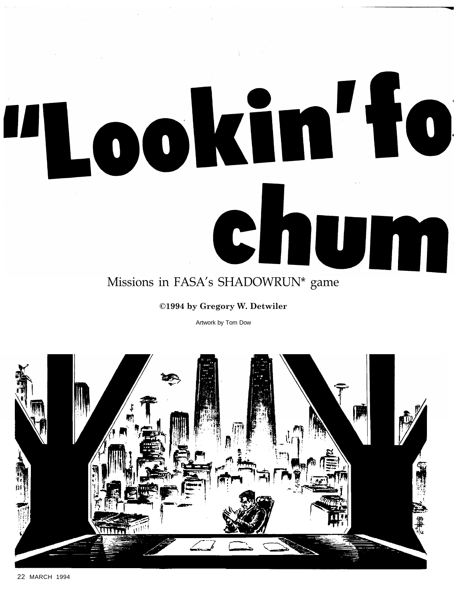# Lookin'fo Chum Missions in FASA's SHADOWRUN\* game

# ©1994 by Gregory W. Detwiler

Artwork by Tom Dow

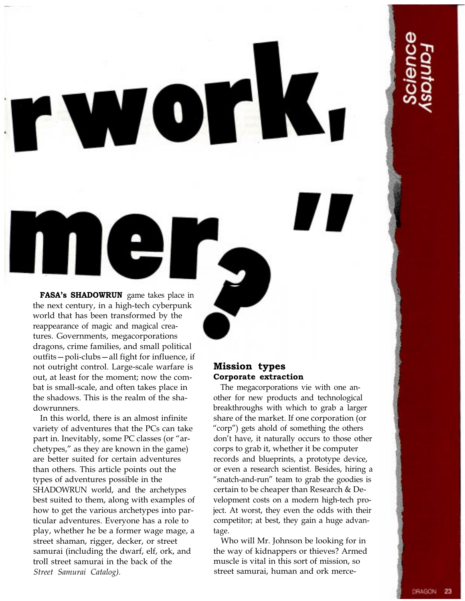FASA's SHADOWRUN game takes place in the next century, in a high-tech cyberpunk world that has been transformed by the reappearance of magic and magical creatures. Governments, megacorporations dragons, crime families, and small political outfits-poli-clubs-all fight for influence, if not outright control. Large-scale warfare is out, at least for the moment; now the combat is small-scale, and often takes place in the shadows. This is the realm of the shadowrunners.

 $\frac{1}{\sqrt{2}}$ 

W

 $\begin{pmatrix} 0 \end{pmatrix}$ 

In this world, there is an almost infinite variety of adventures that the PCs can take part in. Inevitably, some PC classes (or "archetypes," as they are known in the game) are better suited for certain adventures than others. This article points out the types of adventures possible in the SHADOWRUN world, and the archetypes best suited to them, along with examples of how to get the various archetypes into particular adventures. Everyone has a role to play, whether he be a former wage mage, a street shaman, rigger, decker, or street samurai (including the dwarf, elf, ork, and troll street samurai in the back of the Street Samurai Catalog).

# Mission types Corporate extraction

The megacorporations vie with one another for new products and technological breakthroughs with which to grab a larger share of the market. If one corporation (or "corp") gets ahold of something the others don't have, it naturally occurs to those other corps to grab it, whether it be computer records and blueprints, a prototype device, or even a research scientist. Besides, hiring a "snatch-and-run" team to grab the goodies is certain to be cheaper than Research & Development costs on a modern high-tech project. At worst, they even the odds with their competitor; at best, they gain a huge advantage.

Who will Mr. Johnson be looking for in the way of kidnappers or thieves? Armed muscle is vital in this sort of mission, so street samurai, human and ork merce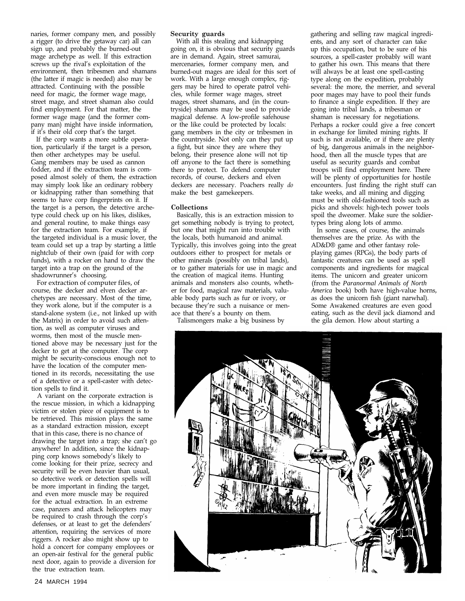naries, former company men, and possibly a rigger (to drive the getaway car) all can sign up, and probably the burned-out mage archetype as well. If this extraction screws up the rival's exploitation of the environment, then tribesmen and shamans (the latter if magic is needed) also may be attracted. Continuing with the possible need for magic, the former wage mage, street mage, and street shaman also could find employment. For that matter, the former wage mage (and the former company man) might have inside information,  $if$  if it's their old corp that's the target.

If the corp wants a more subtle operation, particularly if the target is a person, then other archetypes may be useful. Gang members may be used as cannon fodder, and if the extraction team is composed almost solely of them, the extraction may simply look like an ordinary robbery or kidnapping rather than something that seems to have corp fingerprints on it. If the target is a person, the detective archetype could check up on his likes, dislikes, and general routine, to make things easy for the extraction team. For example, if the targeted individual is a music lover, the team could set up a trap by starting a little nightclub of their own (paid for with corp funds), with a rocker on hand to draw the target into a trap on the ground of the shadowrunner's choosing.

For extraction of computer files, of course, the decker and elven decker archetypes are necessary. Most of the time, they work alone, but if the computer is a stand-alone system (i.e., not linked up with the Matrix) in order to avoid such attention, as well as computer viruses and worms, then most of the muscle mentioned above may be necessary just for the decker to get at the computer. The corp might be security-conscious enough not to have the location of the computer mentioned in its records, necessitating the use of a detective or a spell-caster with detection spells to find it.

A variant on the corporate extraction is the rescue mission, in which a kidnapping victim or stolen piece of equipment is to be retrieved. This mission plays the same as a standard extraction mission, except that in this case, there is no chance of drawing the target into a trap; she can't go anywhere! In addition, since the kidnapping corp knows somebody's likely to come looking for their prize, secrecy and security will be even heavier than usual, so detective work or detection spells will be more important in finding the target, and even more muscle may be required for the actual extraction. In an extreme case, panzers and attack helicopters may be required to crash through the corp's defenses, or at least to get the defenders attention, requiring the services of more riggers. A rocker also might show up to hold a concert for company employees or an open-air festival for the general public next door, again to provide a diversion for the true extraction team.

### Security guards

With all this stealing and kidnapping going on, it is obvious that security guards are in demand. Again, street samurai, mercenaries, former company men, and burned-out mages are ideal for this sort of work. With a large enough complex, riggers may be hired to operate patrol vehicles, while former wage mages, street mages, street shamans, and (in the countryside) shamans may be used to provide magical defense. A low-profile safehouse or the like could be protected by locals: gang members in the city or tribesmen in the countryside. Not only can they put up a fight, but since they are where they belong, their presence alone will not tip off anyone to the fact there is something there to protect. To defend computer records, of course, deckers and elven deckers are necessary. Poachers really do make the best gamekeepers.

### Collections

Basically, this is an extraction mission to get something nobody is trying to protect, but one that might run into trouble with the locals, both humanoid and animal. Typically, this involves going into the great outdoors either to prospect for metals or other minerals (possibly on tribal lands), or to gather materials for use in magic and the creation of magical items. Hunting animals and monsters also counts, whether for food, magical raw materials, valuable body parts such as fur or ivory, or because they're such a nuisance or menace that there's a bounty on them.

Talismongers make a big business by

gathering and selling raw magical ingredients, and any sort of character can take up this occupation, but to be sure of his sources, a spell-caster probably will want to gather his own. This means that there will always be at least one spell-casting type along on the expedition, probably several: the more, the merrier, and several poor mages may have to pool their funds to finance a single expedition. If they are going into tribal lands, a tribesman or shaman is necessary for negotiations. Perhaps a rocker could give a free concert in exchange for limited mining rights. If such is not available, or if there are plenty of big, dangerous animals in the neighborhood, then all the muscle types that are useful as security guards and combat troops will find employment here. There will be plenty of opportunities for hostile encounters. Just finding the right stuff can take weeks, and all mining and digging must be with old-fashioned tools such as picks and shovels: high-tech power tools spoil the dweomer. Make sure the soldiertypes bring along lots of ammo.

In some cases, of course, the animals themselves are the prize. As with the AD&D® game and other fantasy roleplaying games (RPGs), the body parts of fantastic creatures can be used as spell components and ingredients for magical items. The unicorn and greater unicorn (from the *Paranormal Animals of North America* book) both have high-value horns, as does the unicorn fish (giant narwhal). Some Awakened creatures are even good eating, such as the devil jack diamond and the gila demon. How about starting a

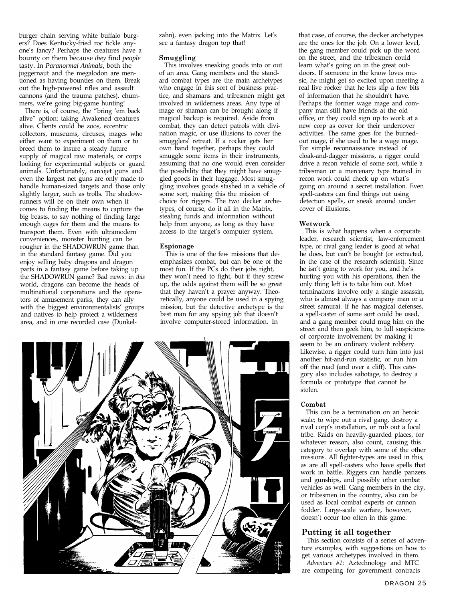burger chain serving white buffalo burgers? Does Kentucky-fried roc tickle anyone's fancy? Perhaps the creatures have a bounty on them because *they* find *people* tasty. In *Paranormal Animals,* both the juggernaut and the megalodon are mentioned as having bounties on them. Break out the high-powered rifles and assault cannons (and the trauma patches), chummers, we're going big-game hunting!

There is, of course, the "bring 'em back alive" option: taking Awakened creatures alive. Clients could be zoos, eccentric collectors, museums, circuses, mages who either want to experiment on them or to breed them to insure a steady future supply of magical raw materials, or corps looking for experimental subjects or guard animals. Unfortunately, narcojet guns and even the largest net guns are only made to handle human-sized targets and those only slightly larger, such as trolls. The shadowrunners will be on their own when it comes to finding the means to capture the big beasts, to say nothing of finding large enough cages for them and the means to transport them. Even with ultramodern conveniences, monster hunting can be rougher in the SHADOWRUN game than in the standard fantasy game. Did you enjoy selling baby dragons and dragon parts in a fantasy game before taking up the SHADOWRUN game? Bad news: in *this* world, dragons can become the heads of multinational corporations and the operators of amusement parks, they can ally with the biggest environmentalists' groups and natives to help protect a wilderness area, and in one recorded case (Dunkel-

zahn), even jacking into the Matrix. Let´s see a fantasy dragon top that!

### Smuggling

This involves sneaking goods into or out of an area. Gang members and the standard combat types are the main archetypes who engage in this sort of business practice, and shamans and tribesmen might get involved in wilderness areas. Any type of mage or shaman can be brought along if magical backup is required. Aside from combat, they can detect patrols with divination magic, or use illusions to cover the smugglers<sup>'</sup> retreat. If a rocker gets her own band together, perhaps they could smuggle some items in their instruments, assuming that no one would even consider the possibility that they might have smuggled goods in their luggage. Most smuggling involves goods stashed in a vehicle of some sort, making this the mission of choice for riggers. The two decker archetypes, of course, do it all in the Matrix, stealing funds and information without help from anyone, as long as they have access to the target's computer system.

### Espionage

This is one of the few missions that deemphasizes combat, but can be one of the most fun. If the PCs do their jobs right, they won't need to fight, but if they screw up, the odds against them will be so great that they haven't a prayer anyway. Theoretically, anyone could be used in a spying mission, but the detective archetype is the best man for any spying job that doesn't involve computer-stored information. In



that case, of course, the decker archetypes are the ones for the job. On a lower level, the gang member could pick up the word on the street, and the tribesmen could learn what's going on in the great outdoors. If someone in the know loves music, he might get so excited upon meeting a real live rocker that he lets slip a few bits of information that he shouldn't have. Perhaps the former wage mage and company man still have friends at the old office, or they could sign up to work at a new corp as cover for their undercover activities. The same goes for the burnedout mage, if she used to be a wage mage. For simple reconnaissance instead of cloak-and-dagger missions, a rigger could drive a recon vehicle of some sort, while a tribesman or a mercenary type trained in recon work could check up on what's going on around a secret installation. Even spell-casters can find things out using detection spells, or sneak around under cover of illusions.

### Wetwork

This is what happens when a corporate leader, research scientist, law-enforcement type, or rival gang leader is good at what he does, but can't be bought (or extracted, in the case of the research scientist). Since he isn't going to work for you, and he's hurting you with his operations, then the only thing left is to take him out. Most terminations involve only a single assassin, who is almost always a company man or a street samurai. If he has magical defenses, a spell-caster of some sort could be used, and a gang member could mug him on the street and then geek him, to lull suspicions of corporate involvement by making it seem to be an ordinary violent robbery. Likewise, a rigger could turn him into just another hit-and-run statistic, or run him off the road (and over a cliff). This category also includes sabotage, to destroy a formula or prototype that cannot be stolen.

### Combat

This can be a termination on an heroic scale; to wipe out a rival gang, destroy a rival corp's installation, or rub out a local tribe. Raids on heavily-guarded places, for whatever reason, also count, causing this category to overlap with some of the other missions. All fighter-types are used in this, as are all spell-casters who have spells that work in battle. Riggers can handle panzers and gunships, and possibly other combat vehicles as well. Gang members in the city, or tribesmen in the country, also can be used as local combat experts or cannon fodder. Large-scale warfare, however, doesn't occur too often in this game.

### Putting it all together

This section consists of a series of adventure examples, with suggestions on how to get various archetypes involved in them.

*Adventure #1:* Aztechnology and MTC are competing for government contracts